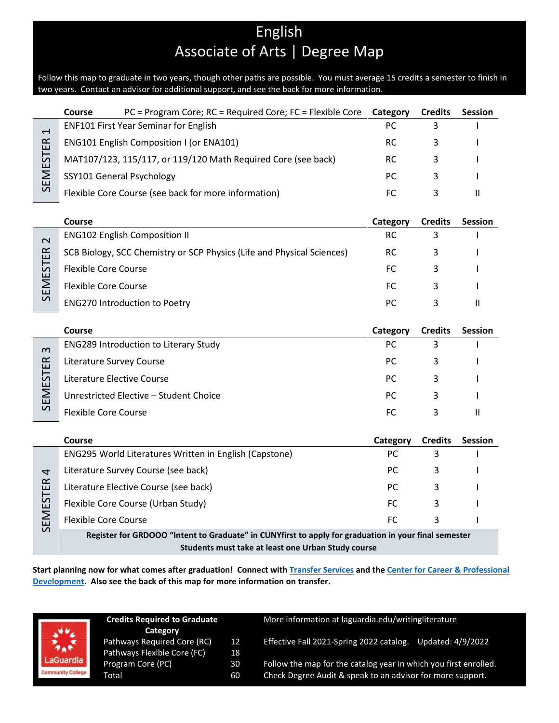# English Associate of Arts | Degree Map

Follow this map to graduate in two years, though other paths are possible. You must average 15 credits a semester to finish in two years. Contact an advisor for additional support, and see the back for more information.

|                         | PC = Program Core; RC = Required Core; FC = Flexible Core<br>Course                                  | Category  | <b>Credits</b> | <b>Session</b> |
|-------------------------|------------------------------------------------------------------------------------------------------|-----------|----------------|----------------|
| $\mathbf \tau$          | ENF101 First Year Seminar for English                                                                | PC        | 3              |                |
|                         | <b>ENG101 English Composition I (or ENA101)</b>                                                      | <b>RC</b> | 3              |                |
|                         | MAT107/123, 115/117, or 119/120 Math Required Core (see back)                                        | RC.       | 3              |                |
| <b>SEMESTER</b>         | SSY101 General Psychology                                                                            | <b>PC</b> | 3              |                |
|                         | Flexible Core Course (see back for more information)                                                 | <b>FC</b> | 3              | $\mathbf{H}$   |
|                         |                                                                                                      |           |                |                |
|                         | Course                                                                                               | Category  | <b>Credits</b> | <b>Session</b> |
| $\overline{\mathsf{C}}$ | <b>ENG102 English Composition II</b>                                                                 | <b>RC</b> | 3              |                |
|                         | SCB Biology, SCC Chemistry or SCP Physics (Life and Physical Sciences)                               | RC.       | 3              |                |
|                         | <b>Flexible Core Course</b>                                                                          | <b>FC</b> | 3              |                |
| SEMESTER                | <b>Flexible Core Course</b>                                                                          | <b>FC</b> | 3              |                |
|                         | <b>ENG270 Introduction to Poetry</b>                                                                 | PC        | 3              | $\mathbf{H}$   |
|                         |                                                                                                      |           |                |                |
|                         | Course                                                                                               | Category  | <b>Credits</b> | Session        |
| $\omega$                | ENG289 Introduction to Literary Study                                                                | PC        | 3              |                |
|                         | Literature Survey Course                                                                             | PC        | 3              |                |
| SEMESTER                | Literature Elective Course                                                                           | PC        | 3              |                |
|                         | Unrestricted Elective - Student Choice                                                               | РC        | 3              |                |
|                         | <b>Flexible Core Course</b>                                                                          | <b>FC</b> | 3              | $\mathbf{H}$   |
|                         |                                                                                                      |           |                |                |
|                         | Course                                                                                               | Category  | <b>Credits</b> | <b>Session</b> |
|                         | ENG295 World Literatures Written in English (Capstone)                                               | PC        | 3              |                |
| 4                       | Literature Survey Course (see back)                                                                  | <b>PC</b> | 3              |                |
|                         | Literature Elective Course (see back)                                                                | PC        | 3              |                |
| SEMESTER                | Flexible Core Course (Urban Study)                                                                   | <b>FC</b> | 3              |                |
|                         | <b>Flexible Core Course</b>                                                                          | <b>FC</b> | 3              |                |
|                         | Register for GRDOOO "Intent to Graduate" in CUNYfirst to apply for graduation in your final semester |           |                |                |
|                         | Students must take at least one Urban Study course                                                   |           |                |                |

**Start planning now for what comes after graduation! Connect with [Transfer Services](https://www.laguardia.edu/transferservices/) and the [Center for Career & Professional](https://www.laguardia.edu/careerservices/)  [Development.](https://www.laguardia.edu/careerservices/) Also see the back of this map for more information on transfer.**